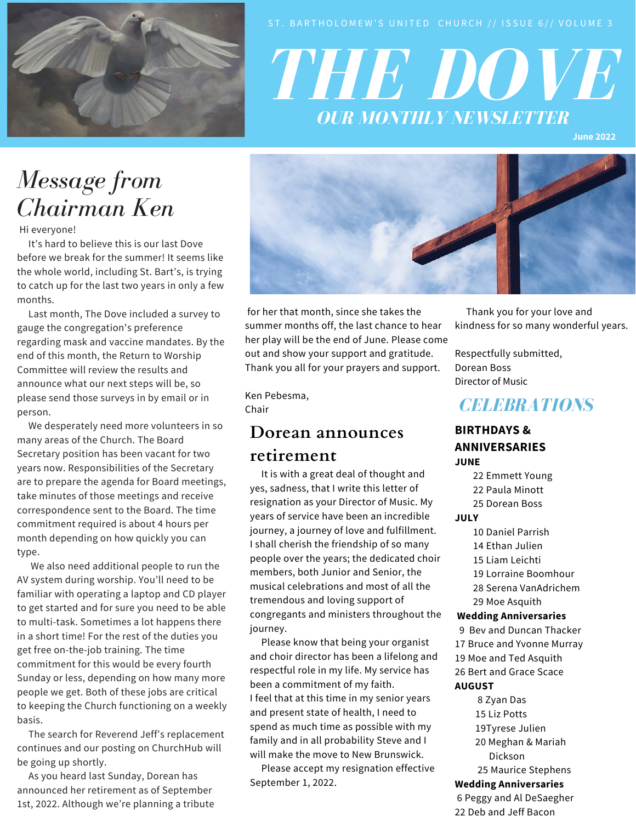

# *THE DOVE OUR MONTHLY NEWSLETTER*

**June 2022**

## *Message from Chairman Ken*

Hi everyone!

It's hard to believe this is our last Dove before we break for the summer! It seems like the whole world, including St. Bart's, is trying to catch up for the last two years in only a few months.

Last month, The Dove included a survey to gauge the congregation's preference regarding mask and vaccine mandates. By the end of this month, the Return to Worship Committee will review the results and announce what our next steps will be, so please send those surveys in by email or in person.

We desperately need more volunteers in so many areas of the Church. The Board Secretary position has been vacant for two years now. Responsibilities of the Secretary are to prepare the agenda for Board meetings, take minutes of those meetings and receive correspondence sent to the Board. The time commitment required is about 4 hours per month depending on how quickly you can type.

We also need additional people to run the AV system during worship. You'll need to be familiar with operating a laptop and CD player to get started and for sure you need to be able to multi-task. Sometimes a lot happens there in a short time! For the rest of the duties you get free on-the-job training. The time commitment for this would be every fourth Sunday or less, depending on how many more people we get. Both of these jobs are critical to keeping the Church functioning on a weekly basis.

The search for Reverend Jeff's replacement continues and our posting on ChurchHub will be going up shortly.

As you heard last Sunday, Dorean has announced her retirement as of September 1st, 2022. Although we're planning a tribute



for her that month, since she takes the summer months off, the last chance to hear her play will be the end of June. Please come out and show your support and gratitude. Thank you all for your prayers and support.

Ken Pebesma, Chair

#### **Dorean announces retirement**

It is with a great deal of thought and yes, sadness, that I write this letter of resignation as your Director of Music. My years of service have been an incredible journey, a journey of love and fulfillment. I shall cherish the friendship of so many people over the years; the dedicated choir members, both Junior and Senior, the musical celebrations and most of all the tremendous and loving support of congregants and ministers throughout the journey.

Please know that being your organist and choir director has been a lifelong and respectful role in my life. My service has been a commitment of my faith. I feel that at this time in my senior years and present state of health, I need to spend as much time as possible with my family and in all probability Steve and I will make the move to New Brunswick.

Please accept my resignation effective September 1, 2022.

Thank you for your love and kindness for so many wonderful years.

Respectfully submitted, Dorean Boss Director of Music

### *CELEBRATIONS*

#### **BIRTHDAYS & ANNIVERSARIES JUNE**

- 22 Emmett Young
- 22 Paula Minott
- 25 Dorean Boss

#### **JULY**

- 10 Daniel Parrish
- 14 Ethan Julien
- 15 Liam Leichti
- 19 Lorraine Boomhour
- 28 Serena VanAdrichem
- 29 Moe Asquith

#### **Wedding Anniversaries**

- 9 Bev and Duncan Thacker
- 17 Bruce and Yvonne Murray
- 19 Moe and Ted Asquith
- 26 Bert and Grace Scace

#### **AUGUST**

- 8 Zyan Das
- 15 Liz Potts
- 19Tyrese Julien
- 20 Meghan & Mariah Dickson
- 25 Maurice Stephens

#### **Wedding Anniversaries**

6 Peggy and Al DeSaegher 22 Deb and Jeff Bacon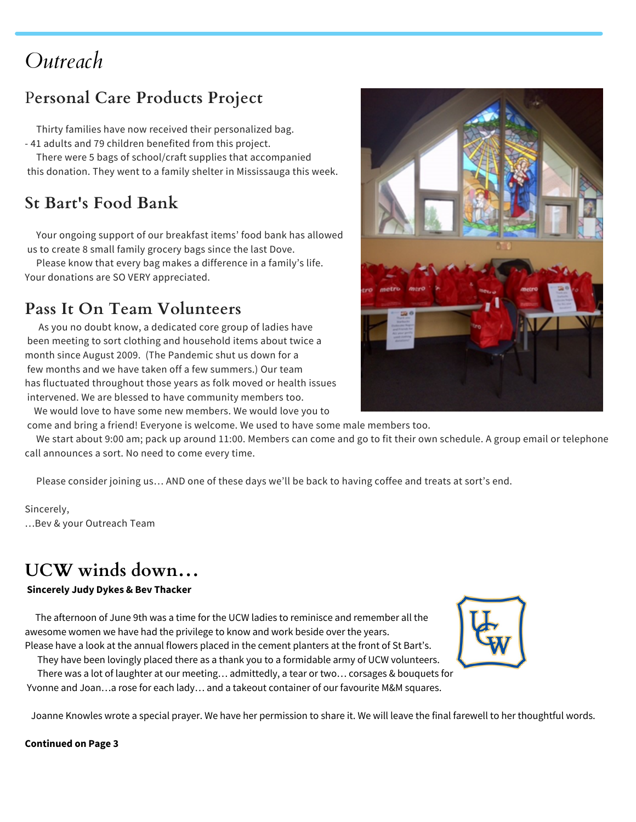## *Outreach*

### P**ersonal Care Products Project**

Thirty families have now received their personalized bag. - 41 adults and 79 children benefited from this project.

There were 5 bags of school/craft supplies that accompanied this donation. They went to a family shelter in Mississauga this week.

## **St Bart's Food Bank**

Your ongoing support of our breakfast items' food bank has allowed us to create 8 small family grocery bags since the last Dove.

Please know that every bag makes a difference in a family's life. Your donations are SO VERY appreciated.

### **Pass It On Team Volunteers**

As you no doubt know, a dedicated core group of ladies have been meeting to sort clothing and household items about twice a month since August 2009. (The Pandemic shut us down for a few months and we have taken off a few summers.) Our team has fluctuated throughout those years as folk moved or health issues intervened. We are blessed to have community members too.

We would love to have some new members. We would love you to

![](_page_1_Picture_10.jpeg)

come and bring a friend! Everyone is welcome. We used to have some male members too.

We start about 9:00 am; pack up around 11:00. Members can come and go to fit their own schedule. A group email or telephone call announces a sort. No need to come every time.

Please consider joining us… AND one of these days we'll be back to having coffee and treats at sort's end.

Sincerely, …Bev & your Outreach Team

## **UCW winds down…**

#### **Sincerely Judy Dykes & Bev Thacker**

The afternoon of June 9th was a time for the UCW ladies to reminisce and remember all the awesome women we have had the privilege to know and work beside over the years. Please have a look at the annual flowers placed in the cement planters at the front of St Bart's.

They have been lovingly placed there as a thank you to a formidable army of UCW volunteers.

There was a lot of laughter at our meeting… admittedly, a tear or two… corsages & bouquets for Yvonne and Joan…a rose for each lady… and a takeout container of our favourite M&M squares.

Joanne Knowles wrote a special prayer. We have her permission to share it. We will leave the final farewell to her thoughtful words.

#### **Continued on Page 3**